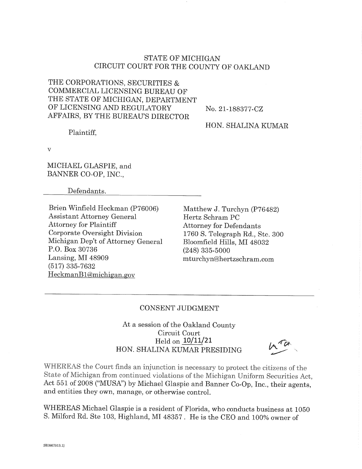# STATE OF MICHIGAN CIRCUIT COURT FOR THE COUNTY OF OAKLAND

THE CORPORATIONS, SECURITIES & COMMERCIAL LICENSING BUREAU OF THE STATE OF MICHIGAN, DEPARTMENT OF LICENSING AND REGULATORY AFFAIRS, BY THE BUREAU'S DIRECTOR

No. 21-188377-CZ

HON. SHALINA KUMAR

Plaintiff.

 $\overline{\mathbf{v}}$ 

MICHAEL GLASPIE, and BANNER CO-OP, INC.,

Defendants.

Brien Winfield Heckman (P76006) **Assistant Attorney General Attorney for Plaintiff** Corporate Oversight Division Michigan Dep't of Attorney General P.O. Box 30736 Lansing, MI 48909  $(517)$  335-7632 HeckmanB1@michigan.gov

Matthew J. Turchyn (P76482) Hertz Schram PC **Attorney for Defendants** 1760 S. Telegraph Rd., Ste. 300 Bloomfield Hills, MI 48032  $(248)$  335-5000 mturchyn@hertzschram.com

# CONSENT JUDGMENT

At a session of the Oakland County Circuit Court Held on  $10/11/21$ HON. SHALINA KUMAR PRESIDING

WHEREAS the Court finds an injunction is necessary to protect the citizens of the State of Michigan from continued violations of the Michigan Uniform Securities Act, Act 551 of 2008 ("MUSA") by Michael Glaspie and Banner Co-Op, Inc., their agents, and entities they own, manage, or otherwise control.

WHEREAS Michael Glaspie is a resident of Florida, who conducts business at 1050 S. Milford Rd. Ste 103, Highland, MI 48357. He is the CEO and 100% owner of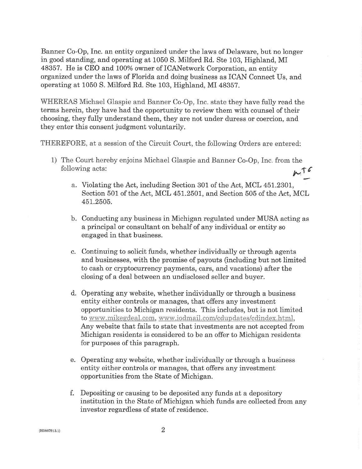Banner Co-Op, Inc. an entity organized under the laws of Delaware, but no longer in good standing, and operating at 1050 S. Milford Rd. Ste 103, Highland, MI 48357. He is CEO and 100% owner of ICANetwork Corporation, an entity organized under the laws of Florida and doing business as ICAN Connect Us, and operating at 1050 S. Milford Rd. Ste 103, Highland, MI 48357.

WHEREAS Michael Glaspie and Banner Co-Op, Inc. state they have fully read the terms herein, they have had the opportunity to review them with counsel of their choosing, they fully understand them, they are not under duress or coercion, and they enter this consent judgment voluntarily.

THEREFORE, at a session of the Circuit Court, the following Orders are entered:

- 1) The Court hereby enjoins Michael Glaspie and Banner Co-Op, Inc. from the following acts:  $M_{\star}$ 
	- a. Violating the Act, including Section 301 of the Act, MCL 451.2301, Section 501 of the Act, MCL 451.2501, and Section 505 of the Act, MCL 451.2505.
	- b. Conducting any business in Michigan regulated under MUSA acting as a principal or consultant on behalf of any individual or entity so engaged in that business.
	- c. Continuing to solicit funds, whether individually or through agents and businesses, with the promise of payouts (including but not limited to cash or cryptocurrency payments, cars, and vacations) after the closing of a deal between an undisclosed seller and buyer.
	- d. Operating any website, whether individually or through a business entity either controls or manages, that offers any investment opportunities to Michigan residents. This includes, but is not limited to www.mikegdeal.com, www.iodmail.com/cdupdates/cdindex.html, Any website that fails to state that investments are not accepted from Michigan residents is considered to be an offer to Michigan residents for purposes of this paragraph.
	- e. Operating any website, whether individually or through a business entity either controls or manages, that offers any investment opportunities from the State of Michigan.
	- f. Depositing or causing to be deposited any funds at a depository institution in the State of Michigan which funds are collected from any investor regardless of state of residence.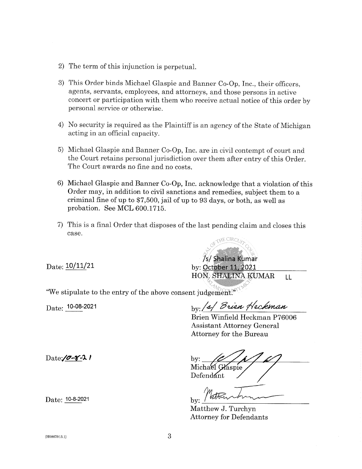- 2) The term of this injunction is perpetual.
- 3) This Order binds Michael Glaspie and Banner Co-Op, Inc., their officers, agents, servants, employees, and attorneys, and those persons in active concert or participation with them who receive actual notice of this order by personal service or otherwise.
- 4) No security is required as the Plaintiff is an agency of the State of Michigan acting in an official capacity.
- 5) Michael Glaspie and Banner Co-Op, Inc. are in civil contempt of court and the Court retains personal jurisdiction over them after entry of this Order. The Court awards no fine and no costs.
- 6) Michael Glaspie and Banner Co-Op, Inc. acknowledge that a violation of this Order may, in addition to civil sanctions and remedies, subject them to a criminal fine of up to \$7,500, jail of up to 93 days, or both, as well as probation. See MCL 600.1715.
- 7) This is a final Order that disposes of the last pending claim and closes this case.

 $Date: 10/11/21$ 

/s/ Shalina Kumar by: October 11, 2021 HON, SHALINA KUMAR  $LL$ 

"We stipulate to the entry of the above consent judgement."

 $Date: 10-08-2021$ 

by: /2/ Brien Heckman

Brien Winfield Heckman P76006 **Assistant Attorney General** Attorney for the Bureau

by: Michael Glaspie Defendant

 $\mathbf{hv}$ 

Matthew J. Turchyn **Attorney for Defendants** 

Date: 10-8-2021

 $Date / 2 - 8 - 21$ 

 ${H0867913.1}$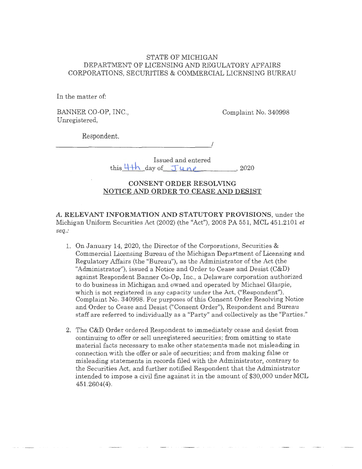#### STATE OF MICHIGAN DEPARTMENT OF LICENSING AND REGULATORY AFFAIRS CORPORATIONS, SECURITIES & COMMERCIAL LICENSING BUREAU

In the matter of:

BANNER CO-OP, INC., Unregistered,

Complaint No. 340998

Respondent.

 $\overline{\phantom{a}}$ 

Issued and entered this  $4+h$  day of  $Junel$ , 2020

## CONSENT ORDER RESOLVING NOTICE AND ORDER TO CEASE AND DESIST

*A.* **RELEVANT INFORMATION AND STATUTORY PROVISIONS,** under the Michigan Uniform Securities Act (2002) (the "Act"), 2008 PA 551, MCL 451.2101 *et seq.:* 

- 1. On January 14, 2020, the Director of the Corporations, Securities & Commercial Licensing Bureau of the Michigan Department of Licensing and Regulatory Affairs (the "Bureau"), as the Administrator of the Act (the "Administrator"), issued a Notice and Order to Cease and Desist (C&D) against Respondent Banner Co-Op, Inc., a Delaware corporation authorized to do business in Michigan and owned and operated by Michael Glaspie, which is not registered in any capacity under the Act, ("Respondent"), Complaint No. 340998. For purposes of this Consent Order Resolving Notice and Order to Cease and Desist ("Consent Order"), Respondent and Bureau staff are referred to individually as a "Party" and collectively as the "Parties."
- 2. The C&D Order ordered Respondent to immediately cease and desist from continuing to offer or sell unregistered securities; from omitting to state material facts necessary to make other statements made not misleading in connection with the offer or sale of securities; and from making false or misleading statements in records filed with the Administrator, contrary to the Securities Act, and further notified Respondent that the Administrator intended to impose a civil fine against it in the amount of \$30,000 under MCL 451.2604(4).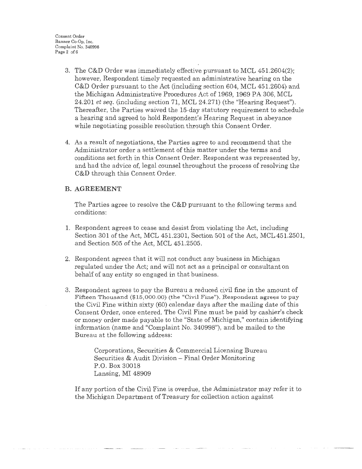- 3. The C&D Order was immediately effective pursuant to MCL  $451.2604(2)$ ; however, Respondent timely requested an administrative hearing on the C&D Order pursuant to the Act (including section 604, MCL 451.2604) and the Michigan Administrative Procedures Act of 1969, 1969 PA 306, MCL 24\_201 *et seq.* (including section 71, MCL 24.271) (the "Hearing Request"). Thereafter, the Parties waived the 15-day statutory requirement to schedule a hearing and agreed to hold Respondent's Hearing Request in abeyance while negotiating possible resolution through this Consent Order.
- 4. As a result of negotiations, the Parties agree to and recommend that the Administrator order a settlement of this matter under the terms and conditions set forth in this Consent Order. Respondent was represented by, and had the advice of, legal counsel throughout the process of resolving the C&D through this Consent Order.

#### **B. AGREEMENT**

The Parties agree to resolve the C&D pursuant to the following terms and conditions:

- 1. Respondent agrees to cease and desist from violating the Act, including Section 301 of the Act, MCL 451.2301, Section 501 of the Act, MCL451.2501, and Section 505 of the Act, MCL 451.2505.
- 2. Respondent agrees that it will not conduct any business in Michigan regulated under the Act; and will not act as a principal or consultant on behalf of any entity so engaged in that business.
- 3. Respondent agrees to pay the Bureau a reduced civil fine in the amount of Fifteen Thousand (\$15,000.00) (the "Civil Fine"). Respondent agrees to pay the Civil Fine within sixty (60) calendar days after the mailing date of this Consent Order, once entered. The Civil Fine must be paid by cashier's check or money order made payable to the ''State of Michigan," contain identifying information (name and "Complaint No. 340998"), and be mailed to the Bureau at the following address:

Corporations, Securities & Commercial Licensing Bureau Securities & Audit Division - Final Order Monitoring P.O. Box 30018 Lansing, MI 48909

If any portion of the Civil Fine is overdue, the Administrator may refer it to the Michigan Department of Treasury for collection action against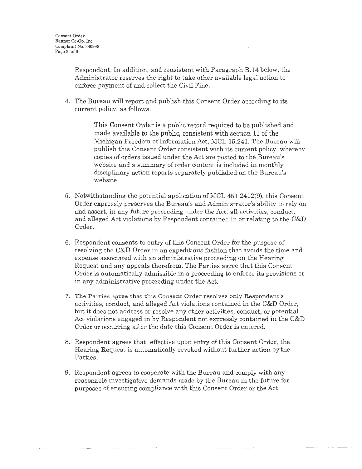Respondent. In addition, and consistent with Paragraph B.14 below, the Administrator reserves the right to take other available legal action to enforce payment of and collect the Civil Fine.

4. The Bureau will report and publish this Consent Order according to its current policy, as follows:

> This Consent Order is a public record required to be published and made available to the public, consistent with section 11 of the Michigan Freedom of Information Act, MCL 15.241. The Bureau will publish this Consent Order consistent with its current policy, whereby copies of orders issued under the Act are posted to the Bureau's website and a summary of order content is included in monthly disciplinary action reports separately published on the Bureau's website.

- 5. Notwithstanding the potential application of MCL 451.2412(9), this Consent Order expressly preserves the Bureau's and Administrator's ability to rely on and assert, in any future proceeding under the Act, all activities, conduct, and alleged Act violations by Respondent contained in or relating to the C&D Order.
- 6. Respondent consents to entry of this Consent Order for the purpose of resolving the C&D Order in an expeditious fashion that avoids the time and expense associated with an administrative proceeding on the Hearing Request and any appeals therefrom. The Parties agree that this Consent Order is automatically admissible in a proceeding to enforce its provisions or in any administrative proceeding under the Act.
- 7. The Parties agree that this Consent Order resolves only Respondent's activities, conduct, and alleged Act violations contained in the C&D Order, but it does not address or resolve any other activities, conduct, or potential Act violations engaged in by Respondent not expressly contained in the C&D Order or occurring after the date this Consent Order is entered.
- 8. Respondent agrees that, effective upon entry of this Consent Order, the Hearing Request is automatically revoked without further action bythe Parties.
- 9. Respondent agrees to cooperate with the Bureau and comply with any reasonable investigative demands made by the Bureau in the future for purposes of ensuring compliance with this Consent Order or the Act.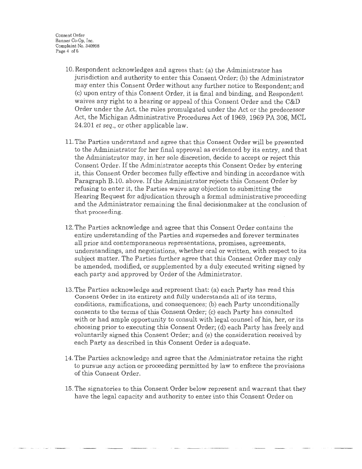Consent Order Banner Co-Op, Inc. Complaint No. 340998 Page 4 of 6

- 10. Respondent acknowledges and agrees that: (a) the Administrator has jurisdiction and authority to enter this Consent Order; (b) the Administrator may enter this Consent Order without any further notice to Respondent; and (c) upon entry of this Consent Order, it is final and binding, and Respondent waives any right to a hearing or appeal of this Consent Order and the C&D Order under the Act, the rules promulgated under the Act or the predecessor Act, the Michigan Administrative Procedures Act of 1969, 1969 PA 306, MCL 24.201 *et seq.,* or other applicable law.
- 11. The Parties understand and agree that this Consent Order will be presented to the Administrator for her final approval as evidenced by its entry, and that the Administrator may, in her sole discretion, decide to accept or reject this Consent Order. If the Administrator accepts this Consent Order by entering it, this Consent Order becomes fully effective and binding in accordance with Paragraph B.10. above. If the Administrator rejects this Consent Order by refusing to enter it, the Parties waive any objection to submitting the Hearing Request for adjudication through a formal administrative proceeding and the Administrator remaining the final decisionmaker at the conclusion of that proceeding.
- 12. The Parties acknowledge and agree that this Consent Order contains the entire understanding of the Parties and supersedes and forever terminates all prior and contemporaneous representations, promises, agreements, understandings, and negotiations, whether oral or written, with respect to its subject matter. The Parties further agree that this Consent Order may only be amended, modified, or supplemented by a duly executed writing signed by each party and approved by Order of the Administrator.
- 13. The Parties acknowledge and represent that: (a) each Party has read this Consent Order in its entirety and fully understands all of its terms, conditions, ramifications, and consequences; (b) each Party unconditionally consents to the terms of this Consent Order; (c) each Party has consulted with or had ample opportunity to consult with legal counsel of his, her, or its choosing prior to executing this Consent Order; (d) each Party has freely and voluntarily signed this Consent Order; and (e) the consideration received by each Party as described in this Consent Order is adequate.
- 14. The Parties acknowledge and agree that the Administrator retains the right to pursue any action or proceeding permitted by law to enforce the provisions of this Consent Order.
- 15. The signatories to this Consent Order below represent and warrant that they have the legal capacity and authority to enter into this Consent Order on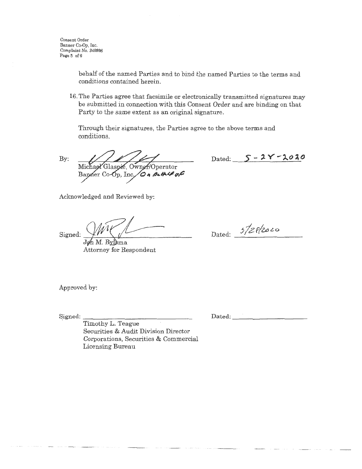behalf of the named Parties and to bind the named Parties to the terms and conditions contained herein.

16. The Parties agree that facsimile or electronically transmitted signatures may be submitted in connection with this Consent Order and are binding on that Party to the same extent as an original signature.

Through their signatures, the Parties agree to the above terms and conditions.

By:

Michael Glaspie, Owner/Operator<br>Bapaer Co-Op, Inc., On BLACE of

Dated:  $S - 2Y - 2020$ 

Acknowledged and Reviewed by:

 $Signed: 9\n *WW* 2\n *John. Bylsma*$ 

Dated:  $5/28/2020$ 

Attorney for Respondent

Approved by:

Dated:--~--------

Signed: Timothy L. Teague Securities & Audit Division Director Corporations, Securities & Commercial Licensing Bureau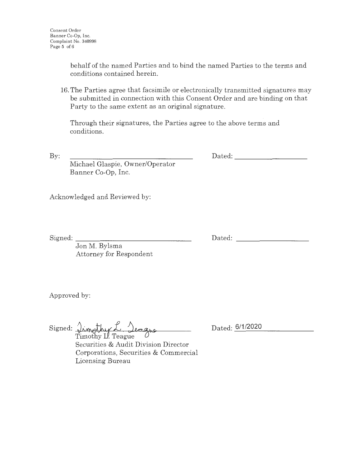behalf of the named Parties and to bind the named Parties to the terms and conditions contained herein.

16. The Parties agree that facsimile or electronically transmitted signatures may be submitted in connection with this Consent Order and are binding on that Party to the same extent as an original signature.

Through their signatures, the Parties agree to the above terms and conditions.

By:

Dated:

Michael Glaspie, Owner/Operator Banner Co-Op, Inc.

Acknowledged and Reviewed by:

Signed:

Dated:

Jon M. Bylsma Attorney for Respondent

Approved by:

Signed: *Dimothy L. Jeague* 

Dated: **6/1/2020** 

Timothy L. Teague Securities & Audit Division Director Corporations, Securities & Commercial Licensing Bureau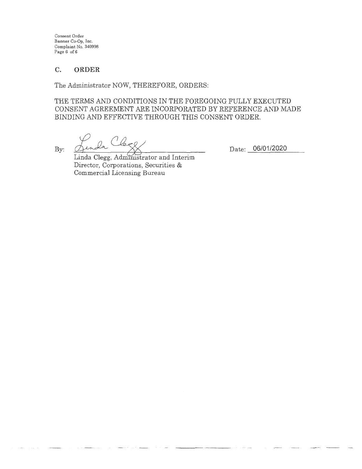Consent Order Banner Go-Op, Inc. Complaint No. 340998 Page 6 of 6

# **C. ORDER**

The Administrator NOW, THEREFORE, ORDERS:

THE TERMS AND CONDITIONS IN THE FOREGOING FULLY EXECUTED CONSENT AGREEMENT ARE INCORPORATED BY REFERENCE AND MADE BINDING AND EFFECTIVE THROUGH THIS CONSENT ORDER.

 $\ell_{00}$  $\mathcal{Q}_{\bm{\alpha}}$  . By:  $Q_f$   $\sim$   $\sim$   $\sim$   $\sim$ 

Date: **06/01 /2020** 

Linda Clegg, Administrator and Interim Director, Corporations, Securities & Commercial Licensing Bureau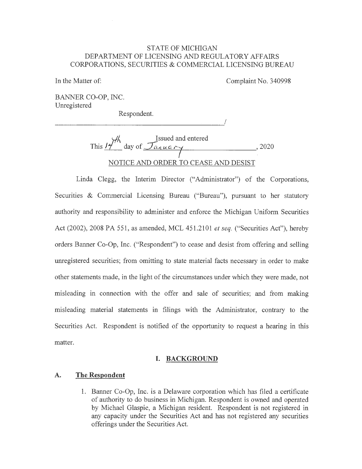## STATE OF MICHIGAN DEPARTMENT OF LICENSING AND REGULATORY AFFAIRS CORPORATIONS, SECURITIES & COMMERCIAL LICENSING BUREAU

In the Matter of: Complaint No. 340998

BANNER CO-OP, INC. Unregistered

Respondent.

 $\frac{1}{2}$ 

*4rfA* Issued and entered This  $17$  day of  $\sqrt{a_n a_n}$ NOTICE AND ORDER TO CEASE AND DESIST

Linda Clegg, the Interim Director ("Administrator") of the Corporations, Securities & Commercial Licensing Bureau ("Bureau"), pursuant to her statutory authority and responsibility to administer and enforce the Michigan Uniform Securities Act (2002), 2008 PA 551, as amended, MCL 451.2101 *et seq.* ("Securities Act"), hereby orders Banner Co-Op, Inc. ("Respondent") to cease and desist from offering and selling unregistered securities; from omitting to state material facts necessary in order to make other statements made, in the light of the circumstances under which they were made, not misleading in connection with the offer and sale of securities; and from making misleading material statements in filings with the Administrator, contrary to the Securities Act. Respondent is notified of the opportunity to request a hearing in this matter.

# **I. BACKGROUND**

### **A. The Respondent**

1. Banner Co-Op, Inc. is a Delaware corporation which has filed a certificate of authority to do business in Michigan. Respondent is owned and operated by Michael Glaspie, a Michigan resident. Respondent is not registered in any capacity under the Securities Act and has not registered any securities offerings under the Securities Act.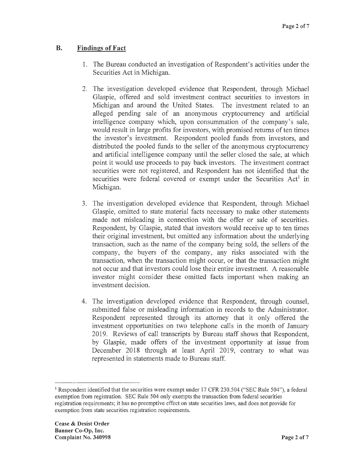#### **B. Findings of Fact**

- 1. The Bureau conducted an investigation of Respondent's activities under the Securities Act in Michigan.
- 2. The investigation developed evidence that Respondent, through Michael Glaspie, offered and sold investment contract securities to investors in Michigan and around the United States. The investment related to an alleged pending sale of an anonymous cryptocurrency and artificial intelligence company which, upon consummation of the company's sale, would result in large profits for investors, with promised returns of ten times the investor's investment. Respondent pooled funds from investors, and distributed the pooled funds to the seller of the anonymous cryptocurrency and artificial intelligence company until the seller closed the sale, at which point it would use proceeds to pay back investors. The investment contract securities were not registered, and Respondent has not identified that the securities were federal covered or exempt under the Securities Act<sup>1</sup> in Michigan.
- 3. The investigation developed evidence that Respondent, through Michael Glaspie, omitted to state material facts necessary to make other statements made not misleading in connection with the offer or sale of securities. Respondent, by Glaspie, stated that investors would receive up to ten times their original investment, but omitted any information about the underlying transaction, such as the name of the company being sold, the sellers of the company, the buyers of the company, any risks associated with the transaction, when the transaction might occur, or that the transaction might not occur and that investors could lose their entire investment. A reasonable investor might consider these omitted facts important when making an investment decision.
- 4. The investigation developed evidence that Respondent, through counsel, submitted false or misleading information in records to the Administrator. Respondent represented through its attorney that it only offered the investment opportunities on two telephone calls in the month of January 2019. Reviews of call transcripts by Bureau staff shows that Respondent, by Glaspie, made offers of the investment opportunity at issue from December 2018 through at least April 2019, contrary to what was represented in statements made to Bureau staff.

<sup>1</sup>Respondent identified that the securities were exempt under 17 CFR 230.504 ("SEC Rule 504"), a federal exemption from registration. SEC Rule 504 only exempts the transaction from federal securities registration requirements; it has no preemptive effect on state securities laws, and does not provide for exemption from state securities registration requirements.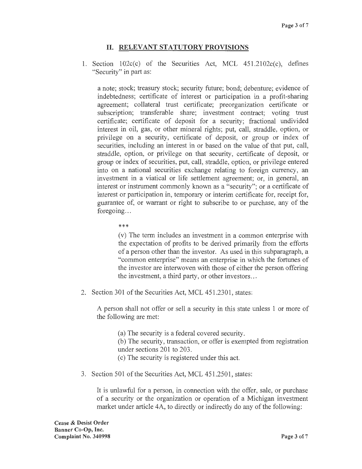# II. **RELEVANT STATUTORY PROVISIONS**

1. Section  $102c(c)$  of the Securities Act, MCL  $451.2102c(c)$ , defines "Security" in part as:

a note; stock; treasury stock; security future; bond; debenture; evidence of indebtedness; certificate of interest or participation in a profit-sharing agreement; collateral trust certificate; preorganization certificate or subscription; transferable share; investment contract; voting trust certificate; certificate of deposit for a security; fractional undivided interest in oil, gas, or other mineral rights; put, call, straddle, option, or privilege on a security, certificate of deposit, or group or index of securities, including an interest in or based on the value of that put, call, straddle, option, or privilege on that security, certificate of deposit, or group or index of securities, put, call, straddle, option, or privilege entered into on a national securities exchange relating to foreign currency, an investment in a viatical or life settlement agreement; or, in general, an interest or instrument commonly known as a "security"; or a certificate of interest or participation in, temporary or interim certificate for, receipt for, guarantee of, or warrant or right to subscribe to or purchase, any of the foregoing...

\*\*\*

(v) The term includes an investment in a common enterprise with the expectation of profits to be derived primarily from the efforts of a person other than the investor. As used in this subparagraph, a "common enterprise" means an enterprise in which the fortunes of the investor are interwoven with those of either the person offering the investment, a third party, or other investors ...

2. Section 301 of the Securities Act, MCL 451.2301, states:

A person shall not offer or sell a security in this state unless 1 or more of the following are met:

- (a) The security is a federal covered security.
- (b) The security, transaction, or offer is exempted from registration under sections 201 to 203.
- ( c) The security is registered under this act.
- 3. Section 501 of the Securities Act, MCL 451.2501, states:

It is unlawful for a person, in connection with the offer, sale, or purchase of a security or the organization or operation of a Michigan investment market under article 4A, to directly or indirectly do any of the following: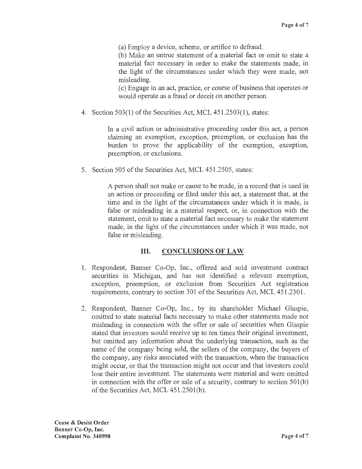(a) Employ a device, scheme, or artifice to defraud.

(b) Make an untrue statement of a material fact or omit to state a material fact necessary in order to make the statements made, in the light of the circumstances under which they were made, not misleading.

( c) Engage in an act, practice, or course of business that operates or would operate as a fraud or deceit on another person.

4. Section 503(1) of the Securities Act, MCL 451.2503(1), states:

In a civil action or administrative proceeding under this act, a person claiming an exemption, exception, preemption, or exclusion has the burden to prove the applicability of the exemption, exception, preemption, or exclusions.

5. Section 505 of the Securities Act, MCL 451.2505, states:

A person shall not make or cause to be made, in a record that is used in an action or proceeding or filed under this act, a statement that, at the time and in the light of the circumstances under which it is made, is false or misleading in a material respect, or, in connection with the statement, omit to state a material fact necessary to make the statement made, in the light of the circumstances under which it was made, not false or misleading.

# III. **CONCLUSIONS OF LAW**

- 1. Respondent, Banner Co-Op, Inc., offered and sold investment contract securities in Michigan, and has not identified a relevant exemption, exception, preemption, or exclusion from Securities Act registration requirements, contrary to section 301 of the Securities Act, MCL 451.2301.
- 2. Respondent, Banner Co-Op, Inc., by its shareholder Michael Glaspie, omitted to state material facts necessary to make other statements made not misleading in connection with the offer or sale of securities when Glaspie stated that investors would receive up to ten times their original investment, but omitted any information about the underlying transaction, such as the name of the company being sold, the sellers of the company, the buyers of the company, any risks associated with the transaction, when the transaction might occur, or that the transaction might not occur and that investors could lose their entire investment. The statements were material and were omitted in connection with the offer or sale of a security, contrary to section  $501(b)$ of the Securities Act, MCL 451.250l(b).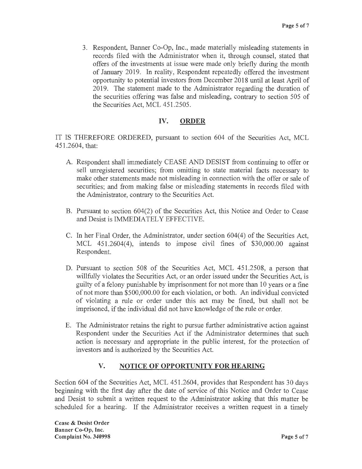3. Respondent, Banner Co-Op, Inc., made materially misleading statements in records filed with the Administrator when it, through counsel, stated that offers of the investments at issue were made only briefly during the month of January 2019. In reality, Respondent repeatedly offered the investment opportunity to potential investors from December 2018 until at least April of 2019. The statement made to the Administrator regarding the duration of the securities offering was false and misleading, contrary to section 505 of the Securities Act, MCL 451.2505.

# **IV. ORDER**

IT IS THEREFORE ORDERED, pursuant to section 604 of the Securities Act, MCL 451.2604, that:

- A. Respondent shall immediately CEASE AND DESIST from continuing to offer or sell umegistered securities; from omitting to state material facts necessary to make other statements made not misleading in connection with the offer or sale of securities; and from making false or misleading statements in records filed with the Administrator, contrary to the Securities Act.
- B. Pursuant to section 604(2) of the Securities Act, this Notice and Order to Cease and Desist is IMMEDIATELY EFFECTIVE.
- C. In her Final Order, the Administrator, under section 604(4) of the Securities Act, MCL  $451.2604(4)$ , intends to impose civil fines of \$30,000.00 against Respondent.
- D. Pursuant to section 508 of the Securities Act, MCL 451.2508, a person that willfully violates the Securities Act, or an order issued under the Securities Act, is guilty of a felony punishable by imprisonment for not more than 10 years or a fine of not more than \$500,000.00 for each violation, or both. An individual convicted of violating a rule or order under this act may be fined, but shall not be imprisoned, if the individual did not have knowledge of the rule or order.
- E. The Administrator retains the right to pursue further administrative action against Respondent under the Securities Act if the Administrator determines that such action is necessary and appropriate in the public interest, for the protection of investors and is authorized by the Securities Act.

# **V. NOTICE OF OPPORTUNITY FOR HEARING**

Section 604 of the Securities Act, MCL 451.2604, provides that Respondent has 30 days beginning with the first day after the date of service of this Notice and Order to Cease and Desist to submit a written request to the Administrator asking that this matter be scheduled for a hearing. If the Administrator receives a written request in a timely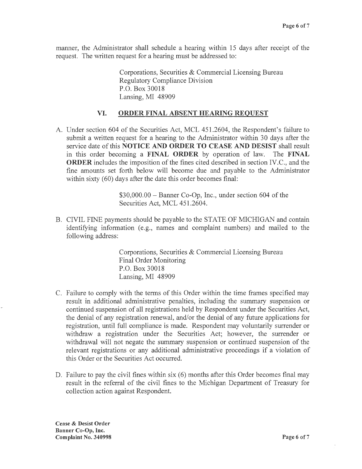manner, the Administrator shall schedule a hearing within 15 days after receipt of the request. The written request for a hearing must be addressed to:

> Corporations, Securities & Commercial Licensing Bureau Regulatory Compliance Division P.O. Box 30018 Lansing, MI 48909

#### **VI. ORDER FINAL ABSENT HEARING REQUEST**

A. Under section 604 of the Securities Act, MCL 451.2604, the Respondent's failure to submit a written request for a hearing to the Administrator within 30 days after the service date of this **NOTICE AND ORDER TO CEASE AND DESIST** shall result in this order becoming a **FINAL ORDER** by operation of law. The **FINAL ORDER** includes the imposition of the fines cited described in section IV.C., and the fine amounts set forth below will become due and payable to the Administrator within sixty (60) days after the date this order becomes final:

> $$30,000.00 - \text{Banner Co-Op}, \text{Inc.}$ , under section 604 of the Securities Act, MCL 451.2604.

B. CIVIL FINE payments should be payable to the STATE OF MICHIGAN and contain identifying information (e.g., names and complaint numbers) and mailed to the following address:

> Corporations, Securities & Commercial Licensing Bureau Final Order Monitoring P.O. Box 30018 Lansing, MI 48909

- C. Failure to comply with the terms of this Order within the time frames specified may result in additional administrative penalties, including the summary suspension or continued suspension of all registrations held by Respondent under the Securities Act, the denial of any registration renewal, and/or the denial of any future applications for registration, until full compliance is made. Respondent may voluntarily surrender or withdraw a registration under the Securities Act; however, the surrender or withdrawal will not negate the summary suspension or continued suspension of the relevant registrations or any additional administrative proceedings if a violation of this Order or the Securities Act occurred.
- D. Failure to pay the civil fines within six (6) months after this Order becomes final may result in the referral of the civil fines to the Michigan Department of Treasury for collection action against Respondent.